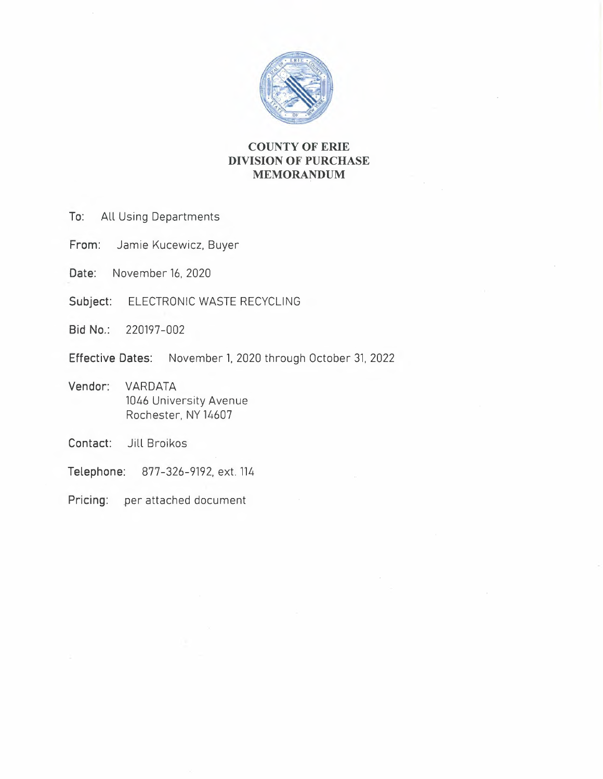

# **COUNTY OF ERIE DIVISION OF PURCHASE MEMORANDUM**

- **To:** All Using Departments
- **From:** Jamie Kucewicz, Buyer
- **Date:** November 16, 2020
- **Subject:** ELECTRONIC WASTE RECYCLING
- **Bid No.:** 220197-002
- **Effective Dates:** November 1, 2020 through October 31, 2022
- **Vendor:** VARDATA 1046 University Avenue Rochester, NY 14607
- **Contact:** Jill Broikos
- **Telephone:** 877-326-9192, ext. 114
- **Pricing:** per attached document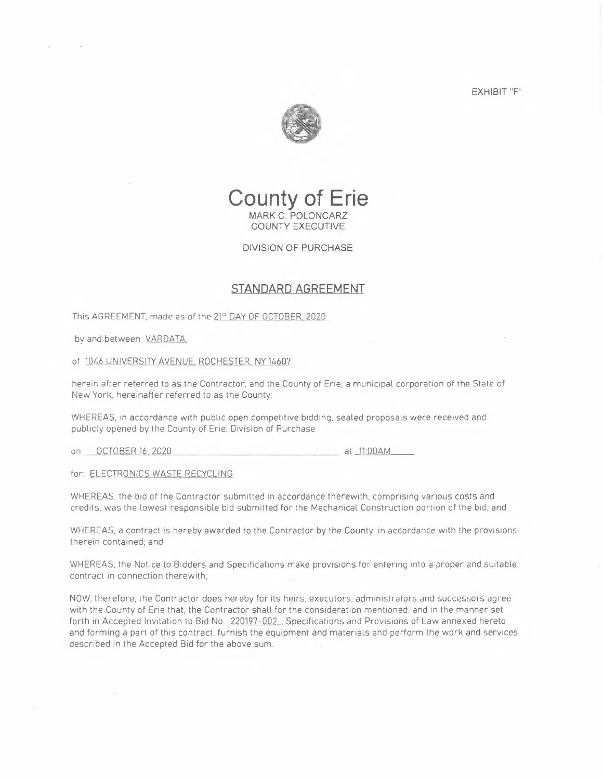EXHIBIT "F"





### DIVISION OF PURCHASE

### **STANDARD AGREEMENT**

This AGREEMENT, made as of the 21st DAY OF OCTOBER, 2020

by and between VARDATA.

of 1046 UNIVERSITY AVENUE. ROCHESTER, NY 14607

herein after referred to as the Contractor, and the County of Erie, a municipal corporation of the State of New York, hereinafter referred to as the County:

WHEREAS, in accordance with public open competitive bidding, sealed proposals were received and publicly opened by the County of Erie, Division of Purchase

on OCTOBER 16, 2-020  $at$   $11:00AM$ 

for: ELECTRONICS WASTE RECYCLING

WHEREAS, the bid of the Contractor submitted in accordance therewith, comprising various costs and credits, was the lowest responsible bid submitted for the Mechanical Construction portion of the bid; and

WHEREAS, a contract is hereby awarded to the Contractor by the County. in accordance with the provisions therein contained; and

WHEREAS, the Notice to Bidders and Specifications make provisions for entering into a proper and suitable contract in connection therewith;

NOW, therefore, the Contractor does hereby for its heirs, executors, administrators and successors agree with the County of Erie that, the Contractor shall for the consideration mentioned, and in the manner set forth in Accepted Invitation to Bid No. 220197-002. Specifications and Provisions of Law annexed hereto and forming a part of this contract, furnish the equipment and materials and perform the work and services described in the Accepted Bid for the above sum.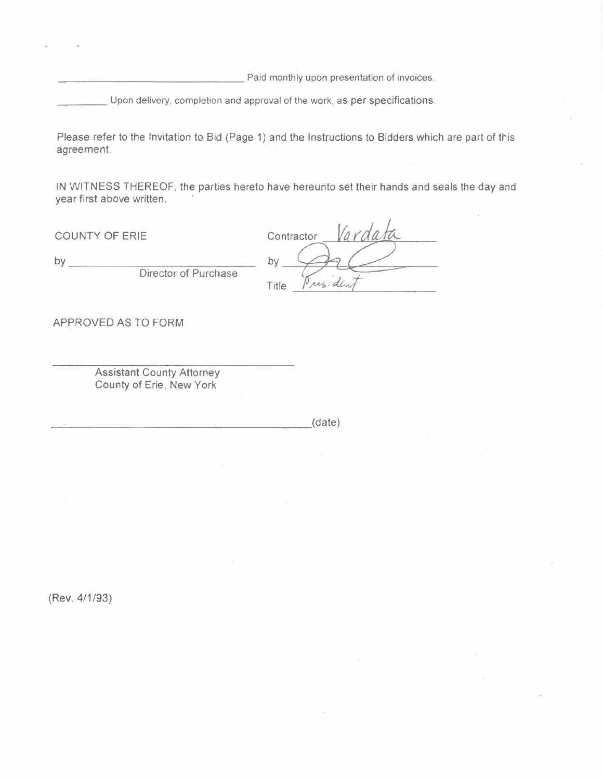Paid monthly upon presentation of invoices.

Upon delivery, completion and approval of the work, as per specifications.

Please refer to the Invitation to Bid (Page 1) and the Instructions to Bidders which are part of this agreement.

IN WITNESS THEREOF, the parties hereto have hereunto set their hands and seals the day and year first above written.

COUNTY OF ERIE

by \_

Director of Purchase

Varda Contractor Title Pres. day

APPROVED AS TO FORM

Assistant County Attorney County of Erie, New York

 $\overline{\phantom{a}}$  (date)

(Rev. 4/1 /93)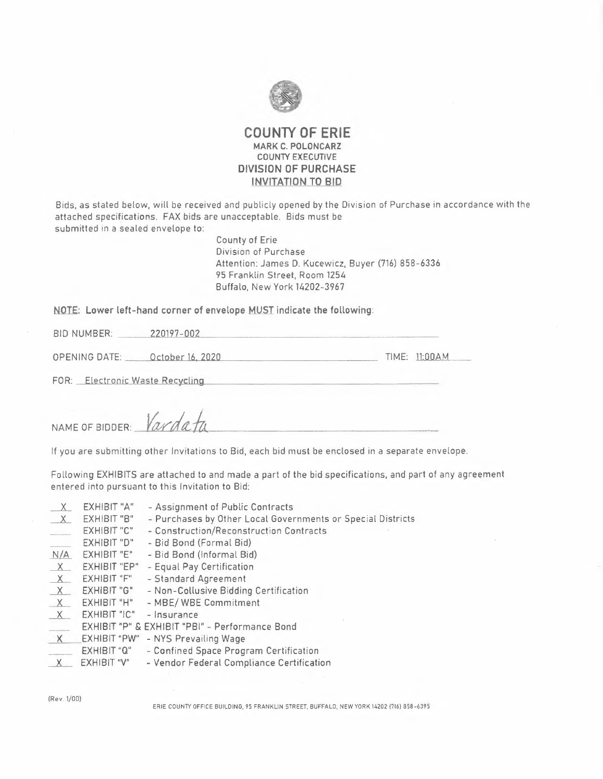

### **COUNTY OF ERIE MARK C. POLONCARZ COUNTY EXECUTIVE DIVISION OF PURCHASE INVITATION TO BID**

Bids, as stated below, will be received and publicly opened by the Division of Purchase in accordance with the attached specifications. FAX bids are unacceptable. Bids must be submitted in a sealed envelope to:

> County of Erie Division of Purchase Attention: James D. Kucewicz, Buyer (716) 858-6336 95 Franklin Street, Room 1254 Buffalo, New York 14202-3967

# NOTE: Lower left-hand corner of envelope <u>MUST</u> indicate the following:<br>BID NUMBER: \_\_\_\_\_\_\_\_\_220197-002

BID NUMBER: \_\_\_\_\_\_\_ 220197-002<br>
OPENING DATE: \_\_\_\_\_ October 16, 2020<br>
TIME: LL:00AM

FOR: Electronic Waste Recycling

NAME OF BIDDER: *Vardata* 

If you are submitting other Invitations to Bid, each bid must be enclosed in a separate envelope.

Following EXHIBITS are attached to and made a part of the bid specifications, and part of any agreement entered into pursuant to this Invitation to Bid:

| $\times$     | EXHIBIT "A"        | - Assignment of Public Contracts                            |
|--------------|--------------------|-------------------------------------------------------------|
| $\mathbf{X}$ | EXHIBIT "B"        | - Purchases by Other Local Governments or Special Districts |
|              | EXHIBIT "C"        | - Construction/Reconstruction Contracts                     |
|              | EXHIBIT "D"        | - Bid Bond (Formal Bid)                                     |
| N/A          | EXHIBIT "E"        | - Bid Bond (Informal Bid)                                   |
| X            | EXHIBIT "EP"       | - Equal Pay Certification                                   |
| $\times$     | EXHIBIT "F"        | - Standard Agreement                                        |
| X            | EXHIBIT "G"        | - Non-Collusive Bidding Certification                       |
| $X_{-}$      | <b>EXHIBIT "H"</b> | - MBE/WBE Commitment                                        |
| $\times$     | EXHIBIT "IC"       | - Insurance                                                 |
|              |                    | EXHIBIT "P" & EXHIBIT "PBI" - Performance Bond              |
| $\times$     | EXHIBIT "PW"       | - NYS Prevailing Wage                                       |
|              | EXHIBIT "Q"        | - Confined Space Program Certification                      |
|              | EXHIBIT "V"        | - Vendor Federal Compliance Certification                   |
|              |                    |                                                             |

(Rev. 1/00)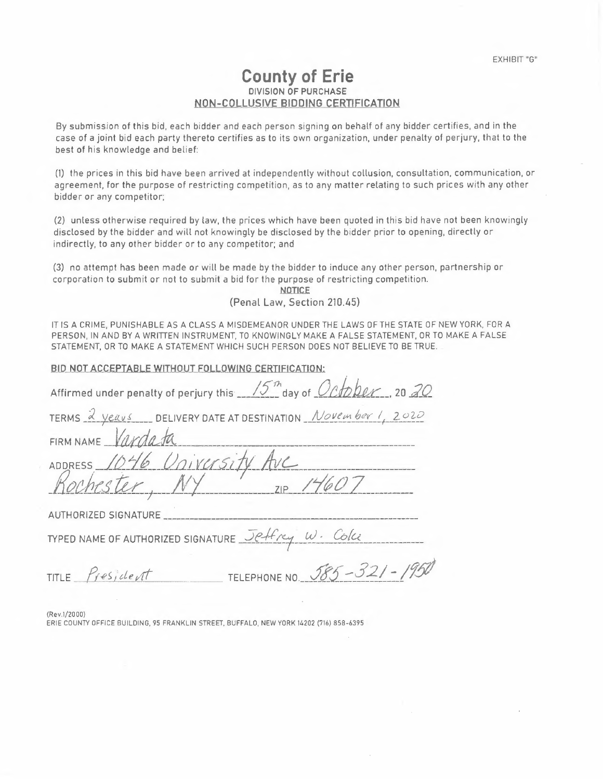# **County of Erie**  DIVISION OF PURCHASE NON-COLLUSJVE BIDDING CERTIFICATION

By submission of this bid, each bidder and each person signing on behalf of any bidder certifies, and in the case of a joint bid each party thereto certifies as to its own organization, under penalty of perjury, that to the best of his knowledge and belief:

(1) the prices in this bid have been arrived at independently without collusion, consultation, communication, or agreement, for the purpose of restricting competition, as to any matter relating to such prices with any other bidder or any competitor;

(2) unless otherwise required by law, the prices which have been quoted in this bid have not been knowingly disclosed by the bidder and will not knowingly be disclosed by the bidder prior to opening, directly or indirectly, to any other bidder or to any competitor; and

(3) no attempt has been made or will be made by the bidder to induce any other person, partnership or corporation to submit or not to submit a bid for the purpose of restricting competition.

**NOTICE** (Penal Law, Section 210.45)

IT IS A CRIME, PUNISHABLE AS A CLASS A MISDEMEANOR UNDER THE LAWS OF THE STATE OF NEW YORK, FOR A PERSON, IN AND BY A WRITTEN INSTRUMENT, TO KNOWINGLY MAKE A FALSE STATEMENT, OR TO MAKE A FALSE STATEMENT, OR TO MAKE A STATEMENT WHICH SUCH PERSON DOES NOT BELIEVE TO BE TRUE.

| BID NOT ACCEPTABLE WITHOUT FOLLOWING CERTIFICATION:                           |  |  |  |  |
|-------------------------------------------------------------------------------|--|--|--|--|
| Affirmed under penalty of perjury this 15 <sup>th</sup> day of October, 20 20 |  |  |  |  |
| TERMS 2 years DELIVERY DATE AT DESTINATION November 1, 2020                   |  |  |  |  |
| FIRM NAME Vardata                                                             |  |  |  |  |
| ADDRESS 1046 University Ave                                                   |  |  |  |  |
| Rochester, NY 11007                                                           |  |  |  |  |
| AUTHORIZED SIGNATURE                                                          |  |  |  |  |
| TYPED NAME OF AUTHORIZED SIGNATURE Jeffry W. Colce                            |  |  |  |  |
| TELEPHONE NO. 585-321-1950<br>TITLE President                                 |  |  |  |  |

(Rev 1/20 00)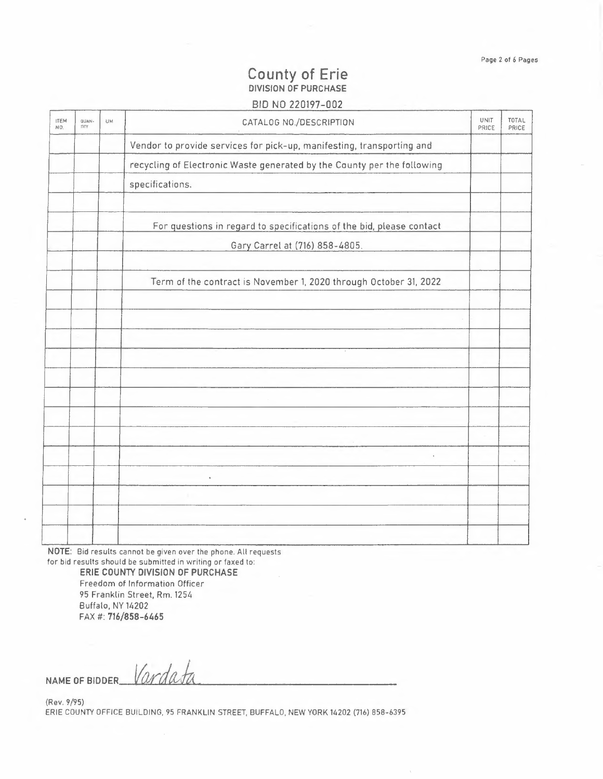# **County of Erie DIVISION OF PURCHASE**

## BID NO 220197-002

| <b>ITEM</b><br>NO. | QUAN-<br>nry | UM | CATALOG NO./DESCRIPTION                                                 | UNIT<br>PRICE | TOTAL<br>PRICE |
|--------------------|--------------|----|-------------------------------------------------------------------------|---------------|----------------|
|                    |              |    | Vendor to provide services for pick-up, manifesting, transporting and   |               |                |
|                    |              |    | recycling of Electronic Waste generated by the County per the following |               |                |
|                    |              |    | specifications.                                                         |               |                |
|                    |              |    | For questions in regard to specifications of the bid, please contact    |               |                |
|                    |              |    | Gary Carrel at (716) 858-4805.                                          |               |                |
|                    |              |    | Term of the contract is November 1, 2020 through October 31, 2022       |               |                |
|                    |              |    |                                                                         |               |                |
|                    |              |    |                                                                         |               |                |
|                    |              |    |                                                                         |               |                |
|                    |              |    |                                                                         |               |                |
|                    |              |    |                                                                         |               |                |
|                    |              |    |                                                                         |               |                |
|                    |              |    | $\frac{1}{2} \left( \frac{1}{2} \right) \left( \frac{1}{2} \right)$     |               |                |
|                    |              |    |                                                                         |               |                |
|                    |              |    |                                                                         |               |                |

**NOTE:** Bid results cannot be given over the phone. All requests for bid results should be submitted in writing or faxed to:

**ERIE COUNTY DIVISION OF PURCHASE** Freedom of Information Officer <sup>95</sup>Franklin Street, Rm. 1254 Buffalo, NY 14202 FAX#: **716/858-6465** 

NAME OF BIDDER Vardata

(Rev. 9/95) ERIE COUNTY OFFICE BUILDING, 95 FRANKLIN STREET, BUFFALO, NEW YORK 14202 (716) 858-6395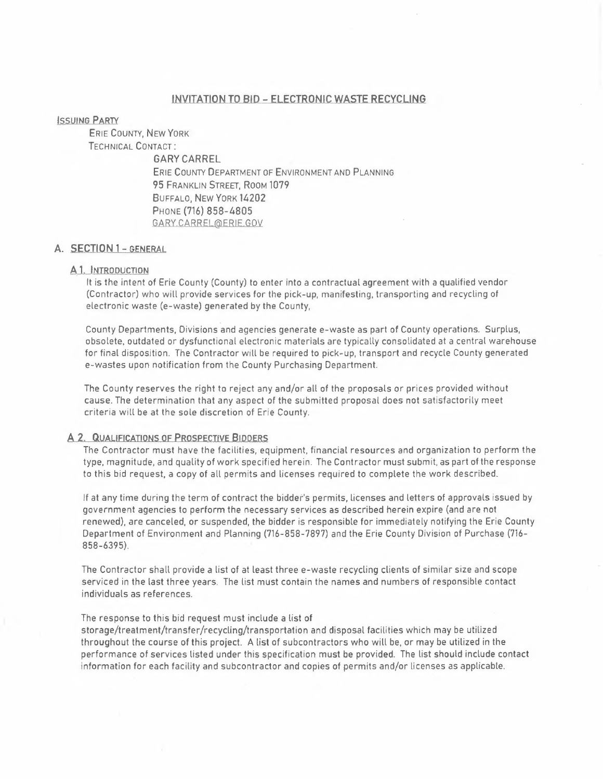### INVITATION TO BID - ELECTRONIC WASTE RECYCLING

### **ISSUING PARTY**

ERIE COUNTY, NEW YORK TECHNICAL CONTACT:

GARY CARREL ERIE COUNTY DEPARTMENT OF ENVIRONMENT AND PLANNING 95 FRANKLIN STREET, ROOM 1079 BUFFALO, NEW YORK 14202 PHONE (716) 858-4805 .GARY.CARREL@ERIE GOV

### **A. SECTION 1 - GENERAL**

### A<sub>1</sub>. INTRODUCTION

**It** is the intent of Erie County (County) to enter into a contractual agreement with a qualified vendor (Contractor) who will provide services for the pick-up, manifesting, transporting and recycling of electronic waste (e-waste) generated by the County,

County Departments, Divisions and agencies generate e-waste as part of County operations. Surplus, obsolete, outdated or dysfunctional electronic materials are typically consolidated at a central warehouse for final disposition. The Contractor will be required to pick-up, transport and recycle County generated e-wastes upon notification from the County Purchasing Department.

The County reserves the right to reject any and/or all of the proposals or prices provided without cause. The determination that any aspect of the submitted proposal does not satisfactorily meet criteria will be at the sole discretion of Erie County.

### **A 2, QUALIFICATIONS** OF **PROSPECTIVE BIDDERS**

The Contractor must have the facilities, equipment, financial resources and organization to perform the type, magnitude, and quality of work specified herein. The Contractor must submit, as part of the response to this bid request, a copy of all permits and licenses required to complete the work described.

If at any time during the term of contract the bidder's permits, licenses and letters of approvals issued by government agencies to perform the necessary services as described herein expire (and are not renewed), are canceled, or suspended, the bidder is responsible for immediately notifying the Erie County Department of Environment and Planning (716-858- 7897) and the Erie County Division of Purchase (716- 858-6395).

The Contractor shall provide a list of at least three e-waste recycling clients of similar size and scope serviced in the last three years. The list must contain the names and numbers of responsible contact individuals as references.

### The response to this bid request must include a list of

storage/treatment/transfer/recycling/transportation and disposal facilities which may be utilized throughout the course of this project. A list of subcontractors who will be, or may be utilized in the performance of services listed under this specification must be provided. The list should include contact information for each facility and subcontractor and copies of permits and/or licenses as applicable.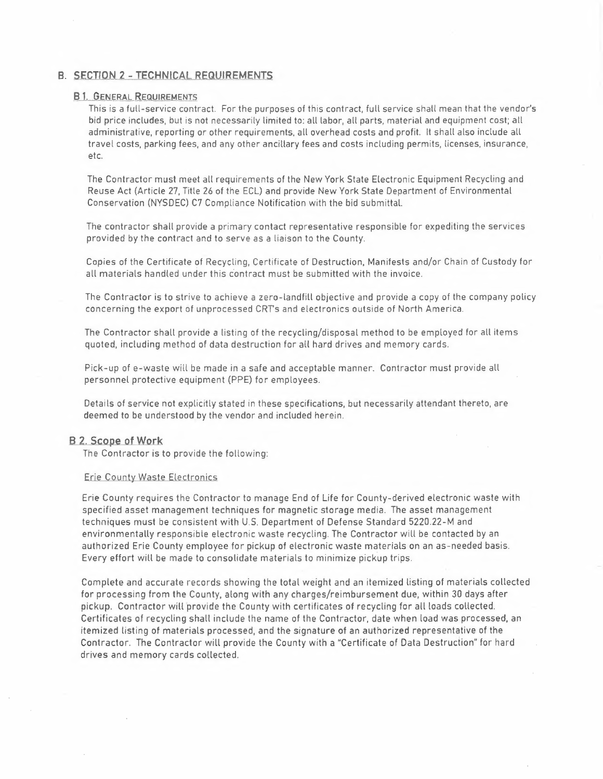# **B. SECTION 2 - TECHNICAL REQUIREMENTS<br>
<b>B.1., GENERAL REQUIREMENTS**<br>
This is a full-service contract. For the aurage

This is a full-service contract. For the purposes of this contract, full service shall mean that the vendor's bid price includes, but is not necessarily limited to: all labor, all parts, material and equipment cost; all administrative, reporting or other requirements, all overhead costs and profit. It shall also include all travel costs, parking fees, and any other ancillary fees and costs including permits, licenses, insurance, etc.

The Contractor must meet all requirements of the New York State Electronic Equipment Recycling and Reuse Act (Article 27, Title 26 of the ECL) and provide New York State Department of Environmental Conservation (NYSDEC) C7 Compliance Notification with the bid submittal.

The contractor shall provide a primary contact representative responsible for expediting the services provided by the contract and to serve as a liaison to the County.

Copies of the Certificate of Recycling, Certificate of Destruction, Manifests and/or Chain of Custody for all materials handled under this contract must be submitted with the invoice.

The Contractor is to strive to achieve a zero-landfill objective and provide a copy of the company policy concerning the export of unprocessed CRTs and electronics outside of North America.

The Contractor shall provide a listing of the recycling/disposal method to be employed for all items quoted, including method of data destruction for all hard drives and memory cards.

Pick-up of e-waste will be made in a safe and acceptable manner. Contractor must provide all personnel protective equipment (PPE) for employees.

Details of service not explicitly stated in these specifications, but necessarily attendant thereto, are deemed to be understood by the vendor and included herein.

### **B 2. Scope of Work**

The Contractor is to provide the following:

### Erie County Waste Electronics

Erie County requires the Contractor to manage End of Life for County-derived electronic waste with specified asset management techniques for magnetic storage media. The asset management techniques must be consistent with U.S. Department of Defense Standard 5220.22-M and environmentally responsible electronic waste recycling. The Contractor will be contacted by an authorized Erie County employee for pickup of electronic waste materials on an as-needed basis. Every effort will be made to consolidate materials to minimize pickup trips.

Complete and accurate records showing the total weight and an itemized listing of materials collected for processing from the County, along with any charges/reimbursement due, within 30 days after pickup. Contractor will provide the County with certificates of recycling for all loads collected. Certificates of recycling shall include the name of the Contractor, date when load was processed, an itemized listing of materials processed, and the signature of an authorized representative of the Contractor. The Contractor will provide the County with a "Certificate of Data Destruction" for hard drives and memory cards collected.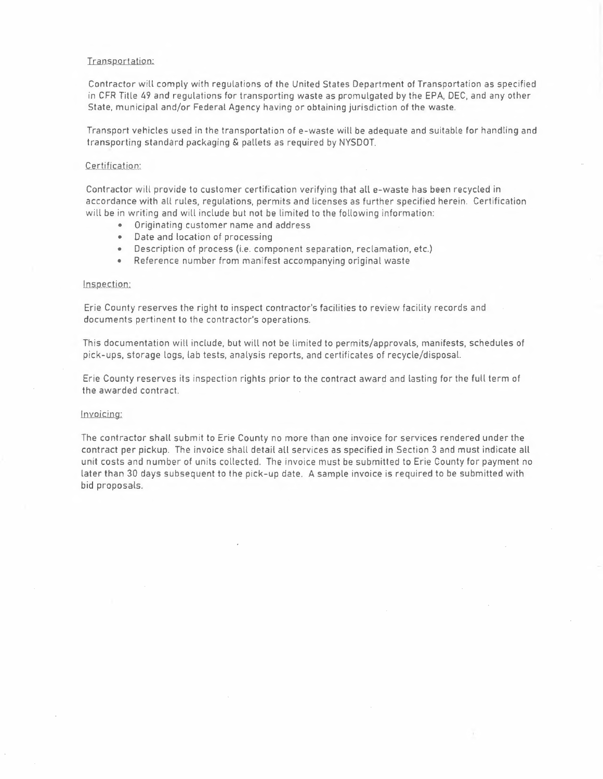### Transportation;

Contractor will comply with regulations of the United States Department of Transportation as specified in CFR Title 49 and regulations for transporting waste as promulgated by the EPA, DEC, and any other State, municipal and/or Federal Agency having or obtaining jurisdiction of the waste.

Transport vehicles used in the transportation of e-waste will be adequate and suitable for handling and transporting standard packaging & pallets as required by NYSDOT.

### Certification:

Contractor will provide to customer certification verifying that all e-waste has been recycled in accordance with all rules, regulations, permits and licenses as further specified herein. Certification will be in writing and will include but not be limited to the following information:

- Originating customer name and address
- Date and location of processing
- Description of process (i.e. component separation, reclamation, etc.)
- Reference number from manifest accompanying original waste

### Inspection:

Erie County reserves the right to inspect contractor's facilities to review facility records and documents pertinent to the contractor's operations.

This documentation will include, but will not be limited to permits/approvals, manifests, schedules of pick-ups, storage logs, lab tests, analysis reports, and certificates of recycle/disposal.

Erie County reserves its inspection rights prior to the contract award and lasting for the full term of the awarded contract.

### Invoicing;

The contractor shall submit to Erie County no more than one invoice for services rendered under the contract per pickup. The invoice shall detail all services as specified in Section 3 and must indicate all unit costs and number of units collected. The invoice must be submitted to Erie County for payment no later than 30 days subsequent to the pick-up date. A sample invoice is required to be submitted with bid proposals.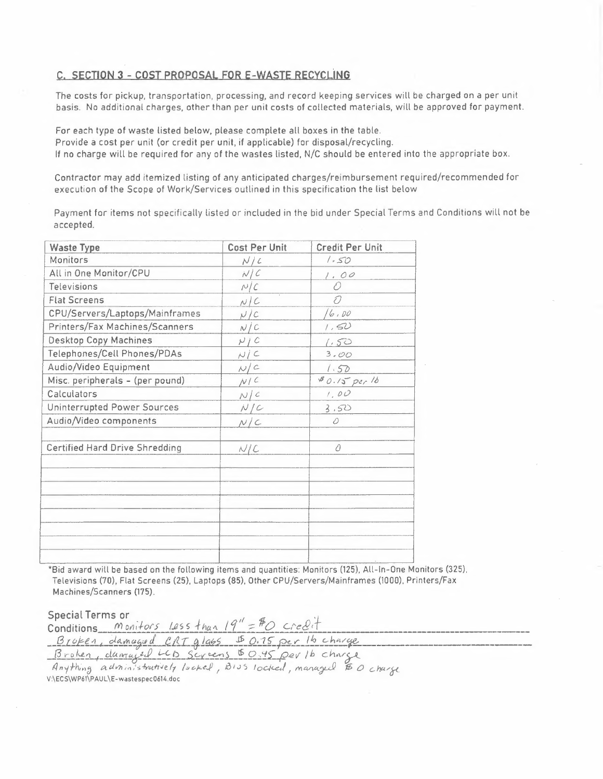### **C. SECTION 3 - COST PROPOSAL FOR E-WASTE RECYCLÌNG**

The costs for pickup, transportation, processing, and record keeping services will be charged on a per unit basis. No additional charges, other than per unit costs of collected materials, will be approved for payment.

For each type of waste listed below, please complete all boxes in the table. Provide a cost per unit (or credit per unit, if applicable) for disposal/recycling. If no charge will be required for any of the wastes listed, N/C should be entered into the appropriate box.

Contractor may add itemized listing of any anticipated charges/reimbursement required/recommended for execution of the Scope of Work/Services outlined in this specification the list below

Payment for items not specifically listed or included in the bid under Special Terms and Conditions will not be accepted.

| <b>Waste Type</b>                     | <b>Cost Per Unit</b> | <b>Credit Per Unit</b> |
|---------------------------------------|----------------------|------------------------|
| Monitors                              | N/c                  | 1.50                   |
| All in One Monitor/CPU                | N/C                  | 1.00                   |
| Televisions                           | N/C                  | Ð                      |
| <b>Flat Screens</b>                   | N/C                  | O                      |
| CPU/Servers/Laptops/Mainframes        | N/C                  | 16.00                  |
| Printers/Fax Machines/Scanners        | N/C                  | 1,50                   |
| <b>Desktop Copy Machines</b>          | N/C                  | 1.50                   |
| Telephones/Cell Phones/PDAs           | N/C                  | 3.00                   |
| Audio/Video Equipment                 | N/C                  | 1.50                   |
| Misc. peripherals - (per pound)       | N/C                  | $80.15$ per 16         |
| Calculators                           | N/c                  | 1,00                   |
| Uninterrupted Power Sources           | N/C                  | 3,50                   |
| Audio/Video components                | N/C                  | 0                      |
| <b>Certified Hard Drive Shredding</b> | N/C                  | ∂                      |
|                                       |                      |                        |
|                                       |                      |                        |
|                                       |                      |                        |
|                                       |                      |                        |
|                                       |                      |                        |
|                                       |                      |                        |
|                                       |                      |                        |

\*Bid award will be based on the following items and quantities: Monitors (125), All-ln-One Monitors (325), Televisions (70). Flat Screens (25), Laptops (85), Other CPU/Servers/Mainframes (1000), Printers/Fax Machines/Scanners (175).

Special Terms or<br>Conditions *Monitors Less than* 19" = #O credit *Special Terms or*<br> *Conditions Monitors 1855 than*  $19'' = ^{\#}O$  *Credit*<br> *Broken*, *damaged LCD* Screens \$ 0.15 per 1b charge<br> *Broken*, *damaged LCD* Screens \$ 0.45 per 1b charge *Broben, duaraged LCD Screens \$0.45 per 1b charge*<br>Anything administratively locked, BIJS locked, managed \$0 charge

V :\EC S\ WP61\P AUL \E-wast es pee 0614.doc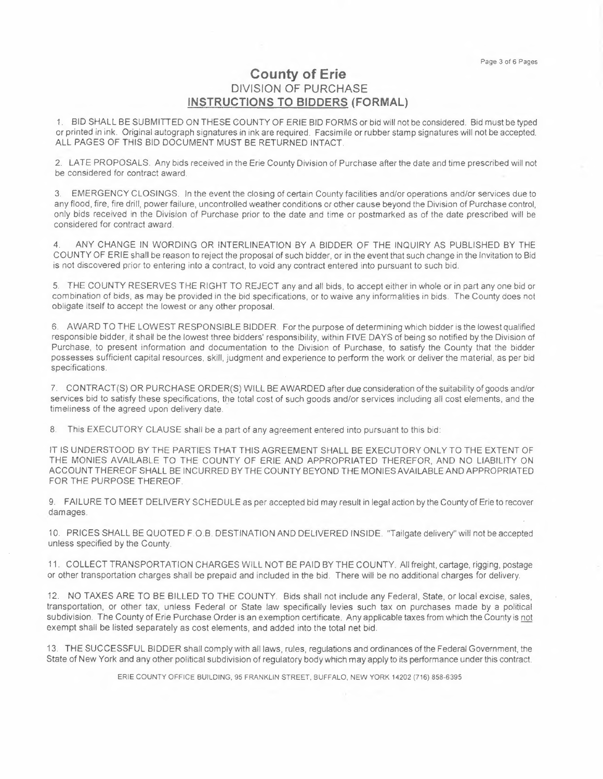# **County of Erie**  DIVISION OF **PURCHASE INSTRUCTIONS TO BIDDERS (FORMAL)**

1. BID SHALL BE SUBMITTED ON THESE COUNTY OF ERIE BID FORMS or bid will not be considered. Bid must be typed or printed in ink. Original autograph signatures in ink are required. Facsimile or rubber stamp signatures will not be accepted. ALL PAGES OF THIS BID DOCUMENT MUST BE RETURNED INTACT.

2. LATE PROPOSALS. Any bids received in the Erie County Division of Purchase after the date and time prescribed will not be considered for contract award.

3. EMERGENCY CLOSINGS. In the event the closing of certain County facilities and/or operations and/or services due to any flood, fíre, fire drill, power failure, uncontrolled weather conditions or other cause beyond the Division of Purchase control, only bids received in the Division of Purchase prior to the date and time or postmarked as of the date prescribed will be considered for contract award.

4. ANY CHANGE IN WORDING OR INTERLINEATION BY A BIDDER OF THE INQUIRY AS PUBLISHED BY THE COUNTY OF ERIE shall be reason to reject the proposal of such bidder, or in the event that such change in the Invitation to Bid is not discovered prior to entering into a contract, to void any contract entered into pursuant to such bid.

5. THE COUNTY RESERVES THE RIGHT TO REJECT any and all bids, to accept either in whole or in part any one bid or combination of bids, as may be provided in the bid specifications, or to waive any informalities in bids. The County does not obligate itself to accept the lowest or any other proposal.

6. AWARD TO THE LOWEST RESPONSIBLE BIDDER. For the purpose of determining which bidder is the lowest qualified responsible bidder, it shall be the lowest three bidders' responsibility, within FIVE DAYS of being so notified by the Division of Purchase, to present information and documentation to the Division of Purchase, to satisfy the County that the bidder possesses sufficient capital resources, skill, judgment and experience to perform the work or deliver the material, as per bid specifications.

7. CONTRACT(S) OR PURCHASE ORDER(S) WILL BE AWARDED after due consideration of the suitability of goods and/or services bid to satisfy these specifications, the total cost of such goods and/or services including all cost elements, and the timeliness of the agreed upon delivery date.

8. This EXECUTORY CLAUSE shall be a part of any agreement entered into pursuant to this bid:

IT IS UNDERSTOOD BY THE PARTIES THAT THIS AGREEMENT SHALL BE EXECUTORY ONLY TO THE EXTENT OF THE MONIES AVAILABLE TO THE COUNTY OF ERIE AND APPROPRIATED THEREFOR, AND NO LIABILITY ON ACCOUNT THEREOF SHALL BE INCURRED BY THE COUNTY BEYOND THE MONIES AVAILABLE AND APPROPRIATED FOR THE PURPOSE THEREOF.

9. FAILURE TO MEET DELIVERY SCHEDULE as per accepted bid may result in legal action by the County of Erie to recover damages.

1 O. PRICES SHALL BE QUOTED F.O.B. DESTINATION AND DELIVERED INSIDE. "Tailgate delivery" will not be accepted unless specified by the County.

11. COLLECT TRANSPORTATION CHARGES WILL NOT BE PAID BY THE COUNTY. All freight, cartage, rigging, postage or other transportation charges shall be prepaid and included in the bid. There will be no additional charges for delivery.

12. NO TAXES ARE TO BE BILLED TO THE COUNTY. Bids shall not include any Federal, State, or local excise, sales, transportation, or other tax, unless Federal or State law specifically levies such tax on purchases made by a political subdivision. The County of Erie Purchase Order is an exemption certificate. Any applicable taxes from which the County is not exempt shall be listed separately as cost elements, and added into the total net bid.

13. THE SUCCESSFUL BIDDER shall comply with all laws, rules, regulations and ordinances of the Federal Government, the State of New York and any other political subdivision of regulatory body which may apply to its performance under this contract.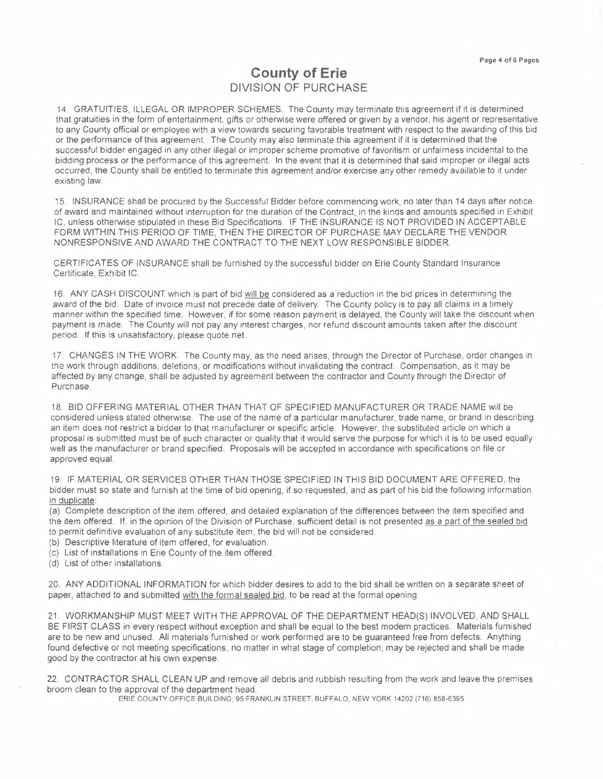# **County of Erie**  DIVISION OF **PURCHASE**

14. GRATUITIES, ILLEGAL OR IMPROPER SCHEMES. The County may terminate this agreement if it is determined that gratuities in the form of entertainment, gifts or otherwise were offered or given by a vendor, his agent or representative to any County official or employee with a view towards securing favorable treatment with respect to the awarding of this bid or the performance of this agreement. The County may also terminate this agreement if it is determined that the successful bidder engaged in any other illegal or improper scheme promotive of favoritism or unfairness incidental to the bidding process or the performance of this agreement. In the event that it is determined that said improper or illegal acts occurred, the County shall be entitled to terminate this agreement and/or exercise any other remedy available to it under existing law.

15. INSURANCE shall be procured by the Successful Bidder before commencing work, no later than 14 days after notice of award and maintained without interruption for the duration of the Contract, in the kinds and amounts specified in Exhibit IC, unless otherwise stipulated in these Bid Specifications. IF THE INSURANCE IS NOT PROVIDED IN ACCEPTABLE FORM WITHIN THIS PERIOD OF TIME, THEN THE DIRECTOR OF PURCHASE MAY DECLARE THE VENDOR NONRESPONSIVE AND AWARD THE CONTRACT TO THE NEXT LOW RESPONSIBLE BIDDER

CERTIFICATES OF INSURANCE shall be furnished by the successful bidder on Erie County Standard Insurance Certificate, Exhibit IC.

16. ANY CASH DISCOUNT which is part of bid will be considered as a reduction in the bid prices in determining the award of the bid. Date of invoice must not precede date of delivery. The County policy is to pay all claims in a timely manner within the specified time. However, if for some reason payment is delayed, the County will take the discount when payment is made. The County will not pay any interest charges, nor refund discount amounts taken after the discount period. If this is unsatisfactory, please quote net

17. CHANGES IN THE WORK. The County may, as the need arises, through the Director of Purchase, order changes in the work through additions, deletions, or modifications without invalidating the contract. Compensation, as it may be affected by any change, shall be adjusted by agreement between the contractor and County through the Director of Purchase.

18. BID OFFERING MATERIAL OTHER THAN THAT OF SPECIFIED MANUFACTURER OR TRADE NAME will be considered unless stated otherwise. The use of the name of a particular manufacturer, trade name, or brand in describing an item does not restrict a bidder to that manufacturer or specific article. However, the substituted article on which a proposal is submitted must be of such character or quality that it would serve the purpose for which it is to be used equally well as the manufacturer or brand specified. Proposals will be accepted in accordance with specifications on file or approved equal.

19. IF MATERIAL OR SERVICES OTHER THAN THOSE SPECIFIED IN THIS BID DOCUMENT ARE OFFERED, the bidder must so state and furnish at the time of bid opening, if so requested, and as part of his bid the following information in duplicate:

(a) Complete description of the item offered, and detailed explanation of the differences between the item specified and the item offered. If, in the opinion of the Division of Purchase, sufficient detail is not presented as a part of the sealed bid to permit definitive evaluation of any substitute item, the bid will not be considered.

- (b) Descriptive literature of item offered, for evaluation.
- (c) List of installations in Erie County of the item offered.
- (d) List of other installations.

20. ANY ADDITIONAL INFORMATION for which bidder desires to add to the bid shall be written on a separate sheet of paper, attached to and submitted with the formal sealed bid, to be read at the formal opening.

21. WORKMANSHIP MUST MEET WITH THE APPROVAL OF THE DEPARTMENT HEAD(S) INVOLVED, AND SHALL BE FIRST CLASS in every respect without exception and shall be equal to the best modern practices. Materials furnished are to be new and unused. All materials furnished or work performed are to be guaranteed free from defects. Anything found defective or not meeting specifications, no matter in what stage of completion, may be rejected and shall be made good by the contractor at his own expense.

22. CONTRACTOR SHALL CLEAN UP and remove all debris and rubbish resulting from the work and leave the premises broom clean to the approval of the department head.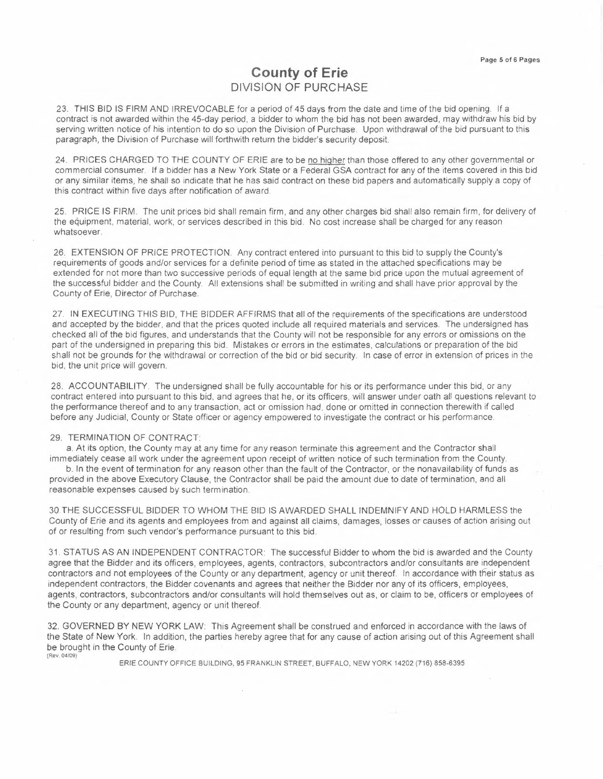# **County of Erie DIVISION OF PURCHASE**

23. THIS BID IS FIRM AND IRREVOCABLE for a period of 45 days from the date and time of the bid opening. If a contract is not awarded within the 45-day period, a bidder to whom the bid has not been awarded, may withdraw his bid by serving written notice of his intention to do so upon the Division of Purchase. Upon withdrawal of the bid pursuant to this paragraph, the Division of Purchase will forthwith return the bidder's security deposit.

24. PRICES CHARGED TO THE COUNTY OF ERIE are to be no higher than those offered to any other governmental or commercial consumer. If a bidder has a New York State or a Federal GSA contract for any of the items covered in this bid or any similar items, he shall so indicate that he has said contract on these bid papers and automatically supply a copy of this contract within five days after notification of award.

25. PRICE IS FIRM. The unit prices bid shall remain firm, and any other charges bid shall also remain firm, for delivery of the equipment, material, work, or services described in this bid. No cost increase shall be charged for any reason whatsoever.

26. EXTENSION OF PRICE PROTECTION. Any contract entered into pursuant to this bid to supply the County's requirements of goods and/or services for a definite period of time as stated in the attached specifications may be extended for not more than two successive periods of equal length at the same bid price upon the mutual agreement of the successful bidder and the County. All extensions shall be submitted in writing and shall have prior approval by the County of Erie, Director of Purchase.

27. IN EXECUTING THIS BID, THE BIDDER AFFIRMS that all of the requirements of the specifications are understood and accepted by the bidder, and that the prices quoted include all required materials and services. The undersigned has checked all of the bid figures, and understands that the County will not be responsible for any errors or omissions on the part of the undersigned in preparing this bid. Mistakes or errors in the estimates, calculations or preparation of the bid shall not be grounds for the withdrawal or correction of the bid or bid security. In case of error in extension of prices in the bid, the unit price will govern.

28. ACCOUNTABILITY. The undersigned shall be fully accountable for his or its performance under this bid, or any contract entered into pursuant to this bid, and agrees that he, or its officers, will answer under oath all questions relevant to the performance thereof and to any transaction, act or omission had, done or omitted in connection therewith if called before any Judicial, County or State officer or agency empowered *to* investigate the contract or his performance.

### 29. TERMINATION OF CONTRACT:

a. At its option, the County may at any time for any reason terminate this agreement and the Contractor shall

immediately cease all work under the agreement upon receipt of written notice of such termination from the County. b. In the event of termination for any reason other than the fault of the Contractor, or the nonavailability of funds as provided in the above Executory Clause, the Contractor shall be paid the amount due to date of termination, and all reasonable expenses caused by such termination.

30.THE SUCCESSFUL BIDDER TO WHOM THE BID IS AWARDED SHALL INDEMNIFY AND HOLD HARMLESS the County of Erie and its agents and employees from and against all claims, damages, losses or causes of action arising out of or resulting from such vendor's performance pursuant to this bid.

31. STATUS AS AN INDEPENDENT CONTRACTOR: The successful Bidder to whom the bid is awarded and the County agree that the Bidder and its officers, employees, agents, contractors, subcontractors and/or consultants are independent contractors and not employees of the County or any department, agency or unit thereof. In accordance with their status as independent contractors, the Bidder covenants and agrees that neither the Bidder nor any of its officers, employees, agents, contractors, subcontractors and/or consultants will hold themselves out as, or claim to be, officers or employees of the County or any department, agency or unit thereof.

32. GOVERNED BY NEW YORK LAW: This Agreement shall be construed and enforced in accordance with the laws of the State of New York. In addition. the parties hereby agree that for any cause of action arising out of this Agreement shall be brought in the County of Erie. (Rev. 04/09)